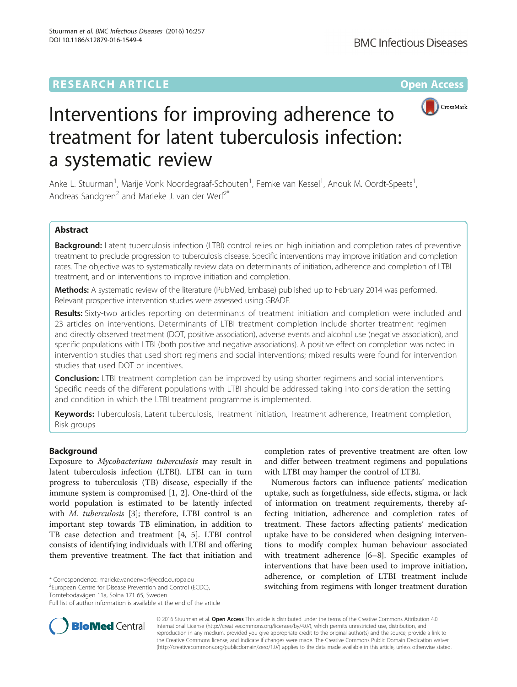

# Interventions for improving adherence to treatment for latent tuberculosis infection: a systematic review

Anke L. Stuurman<sup>1</sup>, Marije Vonk Noordegraaf-Schouten<sup>1</sup>, Femke van Kessel<sup>1</sup>, Anouk M. Oordt-Speets<sup>1</sup> , Andreas Sandgren<sup>2</sup> and Marieke J. van der Werf<sup>2\*</sup>

# Abstract

Background: Latent tuberculosis infection (LTBI) control relies on high initiation and completion rates of preventive treatment to preclude progression to tuberculosis disease. Specific interventions may improve initiation and completion rates. The objective was to systematically review data on determinants of initiation, adherence and completion of LTBI treatment, and on interventions to improve initiation and completion.

Methods: A systematic review of the literature (PubMed, Embase) published up to February 2014 was performed. Relevant prospective intervention studies were assessed using GRADE.

Results: Sixty-two articles reporting on determinants of treatment initiation and completion were included and 23 articles on interventions. Determinants of LTBI treatment completion include shorter treatment regimen and directly observed treatment (DOT, positive association), adverse events and alcohol use (negative association), and specific populations with LTBI (both positive and negative associations). A positive effect on completion was noted in intervention studies that used short regimens and social interventions; mixed results were found for intervention studies that used DOT or incentives.

**Conclusion:** LTBI treatment completion can be improved by using shorter regimens and social interventions. Specific needs of the different populations with LTBI should be addressed taking into consideration the setting and condition in which the LTBI treatment programme is implemented.

Keywords: Tuberculosis, Latent tuberculosis, Treatment initiation, Treatment adherence, Treatment completion, Risk groups

# Background

Exposure to Mycobacterium tuberculosis may result in latent tuberculosis infection (LTBI). LTBI can in turn progress to tuberculosis (TB) disease, especially if the immune system is compromised [[1, 2](#page-15-0)]. One-third of the world population is estimated to be latently infected with *M. tuberculosis* [\[3](#page-15-0)]; therefore, LTBI control is an important step towards TB elimination, in addition to TB case detection and treatment [\[4, 5](#page-15-0)]. LTBI control consists of identifying individuals with LTBI and offering them preventive treatment. The fact that initiation and

<sup>2</sup> European Centre for Disease Prevention and Control (ECDC),

Tomtebodavägen 11a, Solna 171 65, Sweden

completion rates of preventive treatment are often low and differ between treatment regimens and populations with LTBI may hamper the control of LTBI.

Numerous factors can influence patients' medication uptake, such as forgetfulness, side effects, stigma, or lack of information on treatment requirements, thereby affecting initiation, adherence and completion rates of treatment. These factors affecting patients' medication uptake have to be considered when designing interventions to modify complex human behaviour associated with treatment adherence [[6](#page-15-0)–[8\]](#page-15-0). Specific examples of interventions that have been used to improve initiation, adherence, or completion of LTBI treatment include switching from regimens with longer treatment duration



© 2016 Stuurman et al. Open Access This article is distributed under the terms of the Creative Commons Attribution 4.0 International License [\(http://creativecommons.org/licenses/by/4.0/](http://creativecommons.org/licenses/by/4.0/)), which permits unrestricted use, distribution, and reproduction in any medium, provided you give appropriate credit to the original author(s) and the source, provide a link to the Creative Commons license, and indicate if changes were made. The Creative Commons Public Domain Dedication waiver [\(http://creativecommons.org/publicdomain/zero/1.0/](http://creativecommons.org/publicdomain/zero/1.0/)) applies to the data made available in this article, unless otherwise stated.

<sup>\*</sup> Correspondence: [marieke.vanderwerf@ecdc.europa.eu](mailto:marieke.vanderwerf@ecdc.europa.eu) <sup>2</sup>

Full list of author information is available at the end of the article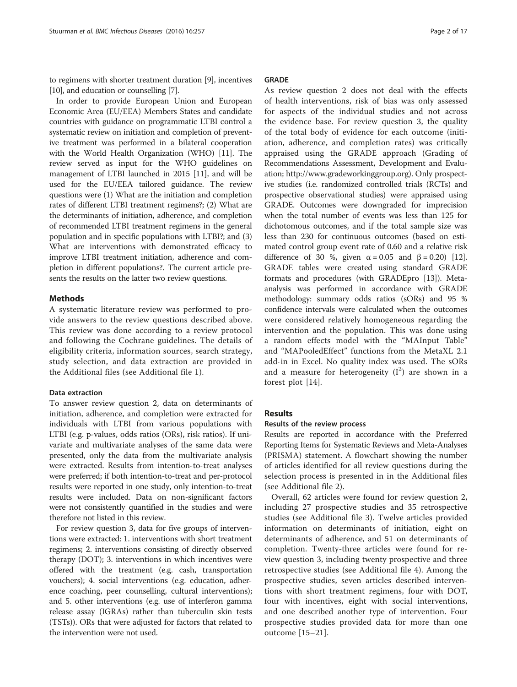to regimens with shorter treatment duration [[9](#page-15-0)], incentives [[10](#page-15-0)], and education or counselling [[7\]](#page-15-0).

In order to provide European Union and European Economic Area (EU/EEA) Members States and candidate countries with guidance on programmatic LTBI control a systematic review on initiation and completion of preventive treatment was performed in a bilateral cooperation with the World Health Organization (WHO) [\[11\]](#page-15-0). The review served as input for the WHO guidelines on management of LTBI launched in 2015 [[11\]](#page-15-0), and will be used for the EU/EEA tailored guidance. The review questions were (1) What are the initiation and completion rates of different LTBI treatment regimens?; (2) What are the determinants of initiation, adherence, and completion of recommended LTBI treatment regimens in the general population and in specific populations with LTBI?; and (3) What are interventions with demonstrated efficacy to improve LTBI treatment initiation, adherence and completion in different populations?. The current article presents the results on the latter two review questions.

### Methods

A systematic literature review was performed to provide answers to the review questions described above. This review was done according to a review protocol and following the Cochrane guidelines. The details of eligibility criteria, information sources, search strategy, study selection, and data extraction are provided in the Additional files (see Additional file [1](#page-14-0)).

# Data extraction

To answer review question 2, data on determinants of initiation, adherence, and completion were extracted for individuals with LTBI from various populations with LTBI (e.g. p-values, odds ratios (ORs), risk ratios). If univariate and multivariate analyses of the same data were presented, only the data from the multivariate analysis were extracted. Results from intention-to-treat analyses were preferred; if both intention-to-treat and per-protocol results were reported in one study, only intention-to-treat results were included. Data on non-significant factors were not consistently quantified in the studies and were therefore not listed in this review.

For review question 3, data for five groups of interventions were extracted: 1. interventions with short treatment regimens; 2. interventions consisting of directly observed therapy (DOT); 3. interventions in which incentives were offered with the treatment (e.g. cash, transportation vouchers); 4. social interventions (e.g. education, adherence coaching, peer counselling, cultural interventions); and 5. other interventions (e.g. use of interferon gamma release assay (IGRAs) rather than tuberculin skin tests (TSTs)). ORs that were adjusted for factors that related to the intervention were not used.

#### GRADE

As review question 2 does not deal with the effects of health interventions, risk of bias was only assessed for aspects of the individual studies and not across the evidence base. For review question 3, the quality of the total body of evidence for each outcome (initiation, adherence, and completion rates) was critically appraised using the GRADE approach (Grading of Recommendations Assessment, Development and Evaluation; [http://www.gradeworkinggroup.org\)](http://www.gradeworkinggroup.org/). Only prospective studies (i.e. randomized controlled trials (RCTs) and prospective observational studies) were appraised using GRADE. Outcomes were downgraded for imprecision when the total number of events was less than 125 for dichotomous outcomes, and if the total sample size was less than 230 for continuous outcomes (based on estimated control group event rate of 0.60 and a relative risk difference of 30 %, given  $\alpha = 0.05$  and  $\beta = 0.20$  [[12](#page-15-0)]. GRADE tables were created using standard GRADE formats and procedures (with GRADEpro [\[13\]](#page-15-0)). Metaanalysis was performed in accordance with GRADE methodology: summary odds ratios (sORs) and 95 % confidence intervals were calculated when the outcomes were considered relatively homogeneous regarding the intervention and the population. This was done using a random effects model with the "MAInput Table" and "MAPooledEffect" functions from the MetaXL 2.1 add-in in Excel. No quality index was used. The sORs and a measure for heterogeneity  $(I^2)$  are shown in a forest plot [[14\]](#page-15-0).

#### Results

#### Results of the review process

Results are reported in accordance with the Preferred Reporting Items for Systematic Reviews and Meta-Analyses (PRISMA) statement. A flowchart showing the number of articles identified for all review questions during the selection process is presented in in the Additional files (see Additional file [2](#page-14-0)).

Overall, 62 articles were found for review question 2, including 27 prospective studies and 35 retrospective studies (see Additional file [3](#page-14-0)). Twelve articles provided information on determinants of initiation, eight on determinants of adherence, and 51 on determinants of completion. Twenty-three articles were found for review question 3, including twenty prospective and three retrospective studies (see Additional file [4](#page-14-0)). Among the prospective studies, seven articles described interventions with short treatment regimens, four with DOT, four with incentives, eight with social interventions, and one described another type of intervention. Four prospective studies provided data for more than one outcome [\[15](#page-15-0)–[21](#page-15-0)].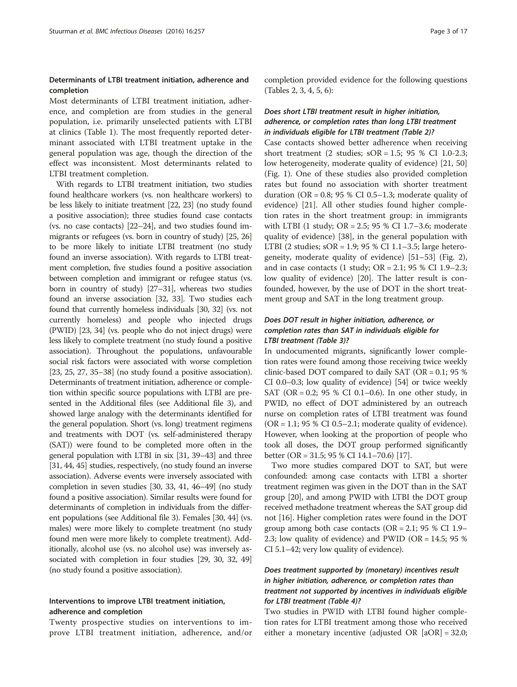# Determinants of LTBI treatment initiation, adherence and completion

Most determinants of LTBI treatment initiation, adherence, and completion are from studies in the general population, i.e. primarily unselected patients with LTBI at clinics (Table [1\)](#page-3-0). The most frequently reported determinant associated with LTBI treatment uptake in the general population was age, though the direction of the effect was inconsistent. Most determinants related to LTBI treatment completion.

With regards to LTBI treatment initiation, two studies found healthcare workers (vs. non healthcare workers) to be less likely to initiate treatment [\[22, 23](#page-15-0)] (no study found a positive association); three studies found case contacts (vs. no case contacts) [\[22](#page-15-0)–[24](#page-15-0)], and two studies found immigrants or refugees (vs. born in country of study) [\[25, 26](#page-15-0)] to be more likely to initiate LTBI treatment (no study found an inverse association). With regards to LTBI treatment completion, five studies found a positive association between completion and immigrant or refugee status (vs. born in country of study) [\[27](#page-15-0)–[31](#page-15-0)], whereas two studies found an inverse association [\[32, 33](#page-15-0)]. Two studies each found that currently homeless individuals [[30](#page-15-0), [32](#page-15-0)] (vs. not currently homeless) and people who injected drugs (PWID) [\[23, 34](#page-15-0)] (vs. people who do not inject drugs) were less likely to complete treatment (no study found a positive association). Throughout the populations, unfavourable social risk factors were associated with worse completion [[23](#page-15-0), [25, 27, 35](#page-15-0)–[38\]](#page-15-0) (no study found a positive association). Determinants of treatment initiation, adherence or completion within specific source populations with LTBI are presented in the Additional files (see Additional file [3\)](#page-14-0), and showed large analogy with the determinants identified for the general population. Short (vs. long) treatment regimens and treatments with DOT (vs. self-administered therapy (SAT)) were found to be completed more often in the general population with LTBI in six [\[31, 39](#page-15-0)–[43\]](#page-16-0) and three [[31](#page-15-0), [44](#page-16-0), [45](#page-16-0)] studies, respectively, (no study found an inverse association). Adverse events were inversely associated with completion in seven studies [\[30](#page-15-0), [33](#page-15-0), [41](#page-15-0), [46](#page-16-0)–[49\]](#page-16-0) (no study found a positive association). Similar results were found for determinants of completion in individuals from the different populations (see Additional file [3\)](#page-14-0). Females [\[30](#page-15-0), [44\]](#page-16-0) (vs. males) were more likely to complete treatment (no study found men were more likely to complete treatment). Additionally, alcohol use (vs. no alcohol use) was inversely associated with completion in four studies [\[29, 30, 32,](#page-15-0) [49](#page-16-0)] (no study found a positive association).

# Interventions to improve LTBI treatment initiation, adherence and completion

Twenty prospective studies on interventions to improve LTBI treatment initiation, adherence, and/or completion provided evidence for the following questions (Tables [2,](#page-6-0) [3](#page-7-0), [4,](#page-8-0) [5](#page-9-0), [6\)](#page-11-0):

# Does short LTBI treatment result in higher initiation, adherence, or completion rates than long LTBI treatment in individuals eligible for LTBI treatment (Table [2](#page-6-0))?

Case contacts showed better adherence when receiving short treatment (2 studies; sOR = 1.5; 95 % CI 1.0-2.3; low heterogeneity, moderate quality of evidence) [[21](#page-15-0), [50](#page-16-0)] (Fig. [1](#page-12-0)). One of these studies also provided completion rates but found no association with shorter treatment duration (OR =  $0.8$ ; 95 % CI 0.5–1.3; moderate quality of evidence) [[21\]](#page-15-0). All other studies found higher completion rates in the short treatment group: in immigrants with LTBI (1 study; OR = 2.5; 95 % CI 1.7–3.6; moderate quality of evidence) [[38\]](#page-15-0), in the general population with LTBI (2 studies; sOR = 1.9; 95 % CI 1.1–3.5; large heterogeneity, moderate quality of evidence) [\[51](#page-16-0)–[53\]](#page-16-0) (Fig. [2](#page-12-0)), and in case contacts  $(1 \text{ study}; \text{OR} = 2.1; 95 \text{ % CI } 1.9-2.3;$ low quality of evidence) [\[20\]](#page-15-0). The latter result is confounded, however, by the use of DOT in the short treatment group and SAT in the long treatment group.

# Does DOT result in higher initiation, adherence, or completion rates than SAT in individuals eligible for LTBI treatment (Table [3\)](#page-7-0)?

In undocumented migrants, significantly lower completion rates were found among those receiving twice weekly clinic-based DOT compared to daily SAT (OR = 0.1; 95 % CI 0.0–0.3; low quality of evidence) [\[54\]](#page-16-0) or twice weekly SAT (OR = 0.2; 95 % CI 0.1–0.6). In one other study, in PWID, no effect of DOT administered by an outreach nurse on completion rates of LTBI treatment was found  $(OR = 1.1; 95 % CI 0.5–2.1; moderate quality of evidence).$ However, when looking at the proportion of people who took all doses, the DOT group performed significantly better (OR = 31.5; 95 % CI 14.1–70.6) [[17](#page-15-0)].

Two more studies compared DOT to SAT, but were confounded: among case contacts with LTBI a shorter treatment regimen was given in the DOT than in the SAT group [[20](#page-15-0)], and among PWID with LTBI the DOT group received methadone treatment whereas the SAT group did not [\[16\]](#page-15-0). Higher completion rates were found in the DOT group among both case contacts ( $OR = 2.1$ ; 95 % CI 1.9– 2.3; low quality of evidence) and PWID (OR = 14.5; 95 % CI 5.1–42; very low quality of evidence).

# Does treatment supported by (monetary) incentives result in higher initiation, adherence, or completion rates than treatment not supported by incentives in individuals eligible for LTBI treatment (Table [4](#page-8-0))?

Two studies in PWID with LTBI found higher completion rates for LTBI treatment among those who received either a monetary incentive (adjusted OR [aOR] = 32.0;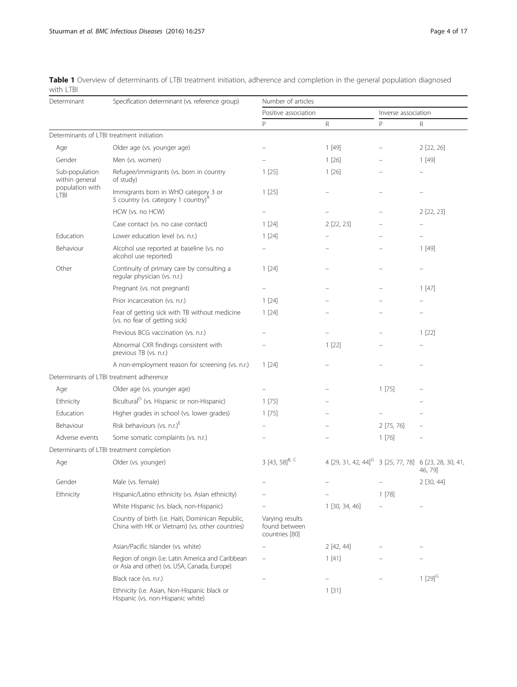<span id="page-3-0"></span>

|            | Table 1 Overview of determinants of LTBI treatment initiation, adherence and completion in the general population diagnosed |  |  |  |  |  |
|------------|-----------------------------------------------------------------------------------------------------------------------------|--|--|--|--|--|
| with I TBI |                                                                                                                             |  |  |  |  |  |

| Determinant                      | Specification determinant (vs. reference group)                                                      | Number of articles                                 |                                                                   |                     |                |  |  |  |
|----------------------------------|------------------------------------------------------------------------------------------------------|----------------------------------------------------|-------------------------------------------------------------------|---------------------|----------------|--|--|--|
|                                  |                                                                                                      | Positive association                               |                                                                   | Inverse association |                |  |  |  |
|                                  |                                                                                                      | P                                                  | R                                                                 | $\mathsf{P}$        | R              |  |  |  |
|                                  | Determinants of LTBI treatment initiation                                                            |                                                    |                                                                   |                     |                |  |  |  |
| Age                              | Older age (vs. younger age)                                                                          |                                                    | 1[49]                                                             |                     | 2[22, 26]      |  |  |  |
| Gender                           | Men (vs. women)                                                                                      |                                                    | 1[26]                                                             |                     | 1[49]          |  |  |  |
| Sub-population<br>within general | Refugee/immigrants (vs. born in country<br>of study)                                                 | 1[25]                                              | 1[26]                                                             |                     |                |  |  |  |
| population with<br><b>LTBI</b>   | Immigrants born in WHO category 3 or<br>5 country (vs. category 1 country) <sup>A</sup>              | 1[25]                                              |                                                                   |                     |                |  |  |  |
|                                  | HCW (vs. no HCW)                                                                                     |                                                    |                                                                   |                     | $2$ $[22, 23]$ |  |  |  |
|                                  | Case contact (vs. no case contact)                                                                   | 1[24]                                              | 2 [22, 23]                                                        |                     |                |  |  |  |
| Education                        | Lower education level (vs. n.r.)                                                                     | 1[24]                                              |                                                                   |                     |                |  |  |  |
| Behaviour                        | Alcohol use reported at baseline (vs. no<br>alcohol use reported)                                    |                                                    |                                                                   |                     | 1[49]          |  |  |  |
| Other                            | Continuity of primary care by consulting a<br>regular physician (vs. n.r.)                           | 1 [24]                                             |                                                                   |                     |                |  |  |  |
|                                  | Pregnant (vs. not pregnant)                                                                          |                                                    |                                                                   |                     | 1[47]          |  |  |  |
|                                  | Prior incarceration (vs. n.r.)                                                                       | 1[24]                                              |                                                                   |                     |                |  |  |  |
|                                  | Fear of getting sick with TB without medicine<br>(vs. no fear of getting sick)                       | 1[24]                                              |                                                                   |                     |                |  |  |  |
|                                  | Previous BCG vaccination (vs. n.r.)                                                                  |                                                    |                                                                   |                     | 1[22]          |  |  |  |
|                                  | Abnormal CXR findings consistent with<br>previous TB (vs. n.r.)                                      |                                                    | 1[22]                                                             |                     |                |  |  |  |
|                                  | A non-employment reason for screening (vs. n.r.)                                                     | 1[24]                                              |                                                                   |                     |                |  |  |  |
|                                  | Determinants of LTBI treatment adherence                                                             |                                                    |                                                                   |                     |                |  |  |  |
| Age                              | Older age (vs. younger age)                                                                          |                                                    |                                                                   | 1[75]               |                |  |  |  |
| Ethnicity                        | Bicultural <sup>D</sup> (vs. Hispanic or non-Hispanic)                                               | 1 [75]                                             |                                                                   |                     |                |  |  |  |
| Education                        | Higher grades in school (vs. lower grades)                                                           | 1[75]                                              |                                                                   |                     |                |  |  |  |
| Behaviour                        | Risk behaviours (vs. n.r.) <sup>E</sup>                                                              |                                                    |                                                                   | 2[75, 76]           |                |  |  |  |
| Adverse events                   | Some somatic complaints (vs. n.r.)                                                                   |                                                    |                                                                   | 1[76]               |                |  |  |  |
|                                  | Determinants of LTBI treatment completion                                                            |                                                    |                                                                   |                     |                |  |  |  |
| Age                              | Older (vs. younger)                                                                                  | 3 [43, 58] <sup>B, C</sup>                         | 4 [29, 31, 42, 44] <sup>G</sup> 3 [25, 77, 78] 6 [23, 28, 30, 41, |                     | 46, 79]        |  |  |  |
| Gender                           | Male (vs. female)                                                                                    |                                                    |                                                                   |                     | 2 [30, 44]     |  |  |  |
| Ethnicity                        | Hispanic/Latino ethnicity (vs. Asian ethnicity)                                                      |                                                    |                                                                   | 1 [78]              |                |  |  |  |
|                                  | White Hispanic (vs. black, non-Hispanic)                                                             |                                                    | 1 [30, 34, 46]                                                    |                     |                |  |  |  |
|                                  | Country of birth (i.e. Haiti, Dominican Republic,<br>China with HK or Vietnam) (vs. other countries) | Varying results<br>found between<br>countries [80] |                                                                   |                     |                |  |  |  |
|                                  | Asian/Pacific Islander (vs. white)                                                                   |                                                    | 2 [42, 44]                                                        |                     |                |  |  |  |
|                                  | Region of origin (i.e. Latin America and Caribbean<br>or Asia and other) (vs. USA, Canada, Europe)   |                                                    | 1[41]                                                             |                     |                |  |  |  |
|                                  | Black race (vs. n.r.)                                                                                |                                                    |                                                                   |                     | $1 [29]^{G}$   |  |  |  |
|                                  | Ethnicity (i.e. Asian, Non-Hispanic black or<br>Hispanic (vs. non-Hispanic white)                    |                                                    | 1[31]                                                             |                     |                |  |  |  |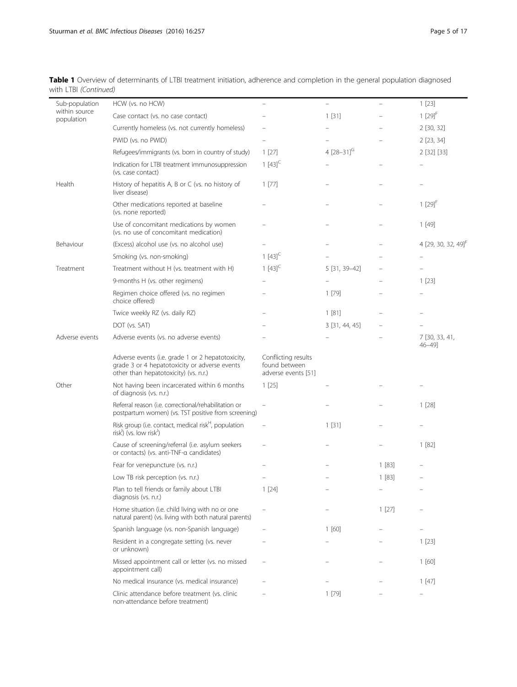| Sub-population<br>within source | HCW (vs. no HCW)                                                                                                                            |                                                             |                            |       | 1[23]                           |
|---------------------------------|---------------------------------------------------------------------------------------------------------------------------------------------|-------------------------------------------------------------|----------------------------|-------|---------------------------------|
| population                      | Case contact (vs. no case contact)                                                                                                          |                                                             | 1[31]                      |       | $1[29]^{F}$                     |
|                                 | Currently homeless (vs. not currently homeless)                                                                                             |                                                             |                            |       | 2 [30, 32]                      |
|                                 | PWID (vs. no PWID)                                                                                                                          |                                                             |                            |       | 2 [23, 34]                      |
|                                 | Refugees/immigrants (vs. born in country of study)                                                                                          | 1[27]                                                       | 4 $[28 - 31]$ <sup>G</sup> |       | 2 [32] [33]                     |
|                                 | Indication for LTBI treatment immunosuppression<br>(vs. case contact)                                                                       | 1 $[43]^{C}$                                                |                            |       |                                 |
| Health                          | History of hepatitis A, B or C (vs. no history of<br>liver disease)                                                                         | 1[77]                                                       |                            |       |                                 |
|                                 | Other medications reported at baseline<br>(vs. none reported)                                                                               |                                                             |                            |       | $1[29]$ <sup>+</sup>            |
|                                 | Use of concomitant medications by women<br>(vs. no use of concomitant medication)                                                           |                                                             |                            |       | 1[49]                           |
| Behaviour                       | (Excess) alcohol use (vs. no alcohol use)                                                                                                   |                                                             |                            |       | 4 [29, 30, 32, 49] <sup>†</sup> |
|                                 | Smoking (vs. non-smoking)                                                                                                                   | 1 $[43]^{C}$                                                |                            |       |                                 |
| Treatment                       | Treatment without H (vs. treatment with H)                                                                                                  | $1[43]^{C}$                                                 | 5 [31, 39-42]              |       |                                 |
|                                 | 9-months H (vs. other regimens)                                                                                                             |                                                             |                            |       | 1[23]                           |
|                                 | Regimen choice offered (vs. no regimen<br>choice offered)                                                                                   |                                                             | 1[79]                      |       |                                 |
|                                 | Twice weekly RZ (vs. daily RZ)                                                                                                              |                                                             | 1[81]                      |       |                                 |
|                                 | DOT (vs. SAT)                                                                                                                               |                                                             | 3 [31, 44, 45]             |       |                                 |
| Adverse events                  | Adverse events (vs. no adverse events)                                                                                                      |                                                             |                            |       | 7 [30, 33, 41,<br>$46 - 49$ ]   |
|                                 | Adverse events (i.e. grade 1 or 2 hepatotoxicity,<br>grade 3 or 4 hepatotoxicity or adverse events<br>other than hepatotoxicity) (vs. n.r.) | Conflicting results<br>found between<br>adverse events [51] |                            |       |                                 |
| Other                           | Not having been incarcerated within 6 months<br>of diagnosis (vs. n.r.)                                                                     | 1[25]                                                       |                            |       |                                 |
|                                 | Referral reason (i.e. correctional/rehabilitation or<br>postpartum women) (vs. TST positive from screening)                                 |                                                             |                            |       | 1[28]                           |
|                                 | Risk group (i.e. contact, medical risk <sup>H</sup> , population<br>risk <sup>1</sup> ) (vs. low risk <sup>1</sup> )                        |                                                             | 1[31]                      |       |                                 |
|                                 | Cause of screening/referral (i.e. asylum seekers<br>or contacts) (vs. anti-TNF-a candidates)                                                |                                                             |                            |       | 1[82]                           |
|                                 | Fear for venepuncture (vs. n.r.)                                                                                                            |                                                             |                            | 1[83] |                                 |
|                                 | Low TB risk perception (vs. n.r.)                                                                                                           |                                                             |                            | 1[83] |                                 |
|                                 | Plan to tell friends or family about LTBI<br>diagnosis (vs. n.r.)                                                                           | 1[24]                                                       |                            |       |                                 |
|                                 | Home situation (i.e. child living with no or one<br>natural parent) (vs. living with both natural parents)                                  |                                                             |                            | 1[27] |                                 |
|                                 | Spanish language (vs. non-Spanish language)                                                                                                 |                                                             | 1[60]                      |       |                                 |
|                                 | Resident in a congregate setting (vs. never<br>or unknown)                                                                                  |                                                             |                            |       | 1[23]                           |
|                                 | Missed appointment call or letter (vs. no missed<br>appointment call)                                                                       |                                                             |                            |       | 1[60]                           |
|                                 | No medical insurance (vs. medical insurance)                                                                                                |                                                             |                            |       | 1 [47]                          |
|                                 | Clinic attendance before treatment (vs. clinic<br>non-attendance before treatment)                                                          |                                                             | 1[79]                      |       |                                 |

Table 1 Overview of determinants of LTBI treatment initiation, adherence and completion in the general population diagnosed with LTBI (Continued)<br>
————————————————————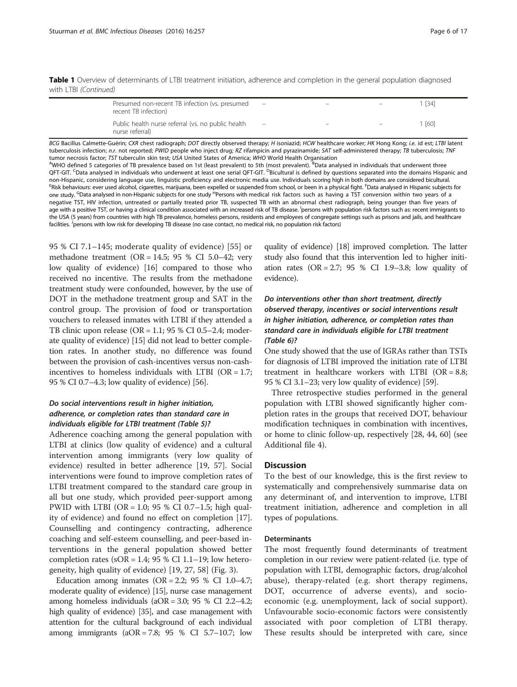Table 1 Overview of determinants of LTBI treatment initiation, adherence and completion in the general population diagnosed with LTBI (Continued)

| Presumed non-recent TB infection (vs. presumed<br>recent TB infection) | $\equiv$                 | $-$ | $\overline{\phantom{0}}$ | [34]   |
|------------------------------------------------------------------------|--------------------------|-----|--------------------------|--------|
| Public health nurse referral (vs. no public health<br>nurse referral)  | $\overline{\phantom{m}}$ |     | $\qquad \qquad =$        | l [60] |

BCG Bacillus Calmette-Guérin; CXR chest radiograph; DOT directly observed therapy; H isoniazid; HCW healthcare worker; HK Hong Kong; i.e. id est; LTBI latent tuberculosis infection; n.r. not reported; PWID people who inject drug; RZ rifampicin and pyrazinamide; SAT self-administered therapy; TB tuberculosis; TNF tumor necrosis factor; TST tuberculin skin test; USA United States of America; WHO World Health Organisation

WHO defined 5 categories of TB prevalence based on 1st (least prevalent) to 5th (most prevalent). <sup>B</sup>Data analysed in individuals that underwent three QFT-GIT. <sup>C</sup>Data analysed in individuals who underwent at least one serial QFT-GIT. <sup>D</sup>Bicultural is defined by questions separated into the domains Hispanic and non-Hispanic, considering language use, linguistic proficiency and electronic media use. Individuals scoring high in both domains are considered bicultural. <sup>E</sup> Risk behaviours: ever used alcohol, cigarettes, marijuana, been expelled or suspended from school, or been in a physical fight. <sup>F</sup>Data analysed in Hispanic subjects for one study. <sup>G</sup>Data analysed in non-Hispanic subjects for one study <sup>H</sup>Persons with medical risk factors such as having a TST conversion within two years of a negative TST, HIV infection, untreated or partially treated prior TB, suspected TB with an abnormal chest radiograph, being younger than five years of age with a positive TST, or having a clinical condition associated with an increased risk of TB disease. <sup>I</sup>persons with population risk factors such as: recent immigrants to the USA (5 years) from countries with high TB prevalence, homeless persons, residents and employees of congregate settings such as prisons and jails, and healthcare facilities. <sup>J</sup>persons with low risk for developing TB disease (no case contact, no medical risk, no population risk factors)

95 % CI 7.1–145; moderate quality of evidence) [[55](#page-16-0)] or methadone treatment (OR = 14.5; 95 % CI 5.0–42; very low quality of evidence) [\[16\]](#page-15-0) compared to those who received no incentive. The results from the methadone treatment study were confounded, however, by the use of DOT in the methadone treatment group and SAT in the control group. The provision of food or transportation vouchers to released inmates with LTBI if they attended a TB clinic upon release ( $OR = 1.1$ ; 95 % CI 0.5–2.4; moderate quality of evidence) [[15](#page-15-0)] did not lead to better completion rates. In another study, no difference was found between the provision of cash-incentives versus non-cashincentives to homeless individuals with LTBI ( $OR = 1.7$ ; 95 % CI 0.7–4.3; low quality of evidence) [\[56\]](#page-16-0).

# Do social interventions result in higher initiation, adherence, or completion rates than standard care in individuals eligible for LTBI treatment (Table [5](#page-9-0))?

Adherence coaching among the general population with LTBI at clinics (low quality of evidence) and a cultural intervention among immigrants (very low quality of evidence) resulted in better adherence [\[19](#page-15-0), [57](#page-16-0)]. Social interventions were found to improve completion rates of LTBI treatment compared to the standard care group in all but one study, which provided peer-support among PWID with LTBI (OR = 1.0; 95 % CI 0.7–1.5; high quality of evidence) and found no effect on completion [\[17](#page-15-0)]. Counselling and contingency contracting, adherence coaching and self-esteem counselling, and peer-based interventions in the general population showed better completion rates ( $sOR = 1.4$ ; 95 % CI 1.1–19; low heterogeneity, high quality of evidence) [[19, 27,](#page-15-0) [58](#page-16-0)] (Fig. [3](#page-13-0)).

Education among inmates (OR = 2.2; 95 % CI 1.0–4.7; moderate quality of evidence) [[15](#page-15-0)], nurse case management among homeless individuals (aOR = 3.0; 95 % CI 2.2–4.2; high quality of evidence) [\[35\]](#page-15-0), and case management with attention for the cultural background of each individual among immigrants  $(aOR = 7.8; 95 % CI 5.7-10.7; low$  quality of evidence) [[18\]](#page-15-0) improved completion. The latter study also found that this intervention led to higher initiation rates  $(OR = 2.7; 95 % CI 1.9-3.8; low quality of$ evidence).

# Do interventions other than short treatment, directly observed therapy, incentives or social interventions result in higher initiation, adherence, or completion rates than standard care in individuals eligible for LTBI treatment (Table [6\)](#page-11-0)?

One study showed that the use of IGRAs rather than TSTs for diagnosis of LTBI improved the initiation rate of LTBI treatment in healthcare workers with LTBI (OR = 8.8; 95 % CI 3.1–23; very low quality of evidence) [\[59\]](#page-16-0).

Three retrospective studies performed in the general population with LTBI showed significantly higher completion rates in the groups that received DOT, behaviour modification techniques in combination with incentives, or home to clinic follow-up, respectively [[28,](#page-15-0) [44, 60\]](#page-16-0) (see Additional file [4](#page-14-0)).

#### **Discussion**

To the best of our knowledge, this is the first review to systematically and comprehensively summarise data on any determinant of, and intervention to improve, LTBI treatment initiation, adherence and completion in all types of populations.

#### **Determinants**

The most frequently found determinants of treatment completion in our review were patient-related (i.e. type of population with LTBI, demographic factors, drug/alcohol abuse), therapy-related (e.g. short therapy regimens, DOT, occurrence of adverse events), and socioeconomic (e.g. unemployment, lack of social support). Unfavourable socio-economic factors were consistently associated with poor completion of LTBI therapy. These results should be interpreted with care, since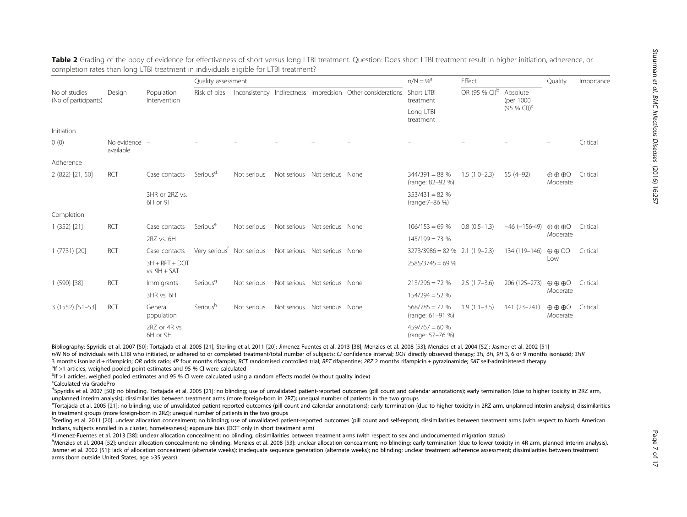Stuurman

Infectious

Diseases

|                                       |                            | Population<br>Intervention         | Quality assessment                    |             |             |                              |                                                             | $n/N = %$<br>Effect                                                                          |                           |                                                        | Quality                                        | Importance |
|---------------------------------------|----------------------------|------------------------------------|---------------------------------------|-------------|-------------|------------------------------|-------------------------------------------------------------|----------------------------------------------------------------------------------------------|---------------------------|--------------------------------------------------------|------------------------------------------------|------------|
| No of studies<br>(No of participants) | Design                     |                                    | Risk of bias                          |             |             |                              | Inconsistency Indirectness Imprecision Other considerations | Short LTBI<br>treatment                                                                      | OR (95 % CI) <sup>b</sup> | Absolute<br>(per 1000                                  |                                                |            |
|                                       |                            |                                    |                                       |             |             |                              |                                                             | Long LTBI<br>treatment                                                                       |                           | $(95 % CI))^c$                                         |                                                |            |
| Initiation                            |                            |                                    |                                       |             |             |                              |                                                             |                                                                                              |                           |                                                        |                                                |            |
| 0(0)                                  | No evidence -<br>available |                                    |                                       |             |             |                              |                                                             |                                                                                              |                           |                                                        |                                                | Critical   |
| Adherence                             |                            |                                    |                                       |             |             |                              |                                                             |                                                                                              |                           |                                                        |                                                |            |
| 2 (822) [21, 50]                      | <b>RCT</b>                 | Case contacts                      | Serious <sup>d</sup>                  | Not serious |             | Not serious Not serious None |                                                             | $344/391 = 88%$<br>(range: 82-92 %)                                                          | $1.5(1.0-2.3)$            | $55(4-92)$                                             | $\oplus$ $\oplus$ $\oplus$ $\odot$<br>Moderate | Critical   |
|                                       |                            | 3HR or 2RZ vs.<br>6H or 9H         |                                       |             |             |                              |                                                             | $353/431 = 82%$<br>(range:7-86 %)                                                            |                           |                                                        |                                                |            |
| Completion                            |                            |                                    |                                       |             |             |                              |                                                             |                                                                                              |                           |                                                        |                                                |            |
| 1(352)[21]                            | <b>RCT</b>                 | Case contacts                      | Serious <sup>e</sup>                  | Not serious | Not serious | Not serious None             |                                                             | $106/153 = 69%$                                                                              | $0.8(0.5-1.3)$            | $-46 (-156-49)$                                        | $\oplus \oplus \oplus \odot$                   | Critical   |
|                                       |                            | 2RZ vs. 6H                         |                                       |             |             |                              |                                                             | $145/199 = 73%$                                                                              |                           |                                                        | Moderate                                       |            |
| 1 (7731) [20]                         | <b>RCT</b>                 | Case contacts                      | Very serious <sup>†</sup> Not serious |             |             | Not serious Not serious None |                                                             | $3273/3986 = 82 \%$ 2.1 (1.9-2.3)                                                            |                           | 134 (119-146)                                          | $\oplus$ $\oplus$ $\odot$                      | Critical   |
|                                       |                            | $3H + RPT + DOT$<br>$vs. 9H + SAT$ |                                       |             |             |                              |                                                             | $2585/3745 = 69%$                                                                            |                           |                                                        | Low                                            |            |
| 1 (590) [38]                          | <b>RCT</b>                 | Immigrants                         | Serious <sup>9</sup>                  | Not serious | Not serious | Not serious None             |                                                             | $213/296 = 72%$                                                                              | $2.5(1.7-3.6)$            | 206 (125-273)                                          | $\oplus$ $\oplus$ $\oplus$ $\odot$             | Critical   |
|                                       |                            | 3HR vs. 6H                         |                                       |             |             |                              |                                                             | $154/294 = 52%$                                                                              |                           |                                                        | Moderate                                       |            |
| $3(1552) [51-53]$                     | <b>RCT</b>                 | General<br>population              | Serious <sup>h</sup>                  | Not serious |             | Not serious Not serious None |                                                             | $568/785 = 72%$<br>$1.9(1.1-3.5)$<br>(range: 61-91 %)<br>$459/767 = 60%$<br>(range: 57-76 %) |                           | 141 (23-241)<br>$\oplus$ $\oplus$ $\oplus$<br>Moderate |                                                | Critical   |
|                                       |                            | 2RZ or 4R vs.<br>6H or 9H          |                                       |             |             |                              |                                                             |                                                                                              |                           |                                                        |                                                |            |

<span id="page-6-0"></span>Table 2 Grading of the body of evidence for effectiveness of short versus long LTBI treatment. Question: Does short LTBI treatment result in higher initiation, adherence, or completion rates than long LTBI treatment in individuals eligible for LTBI treatment?

Bibliography: Spyridis et al. 2007 [[50\]](#page-16-0); Tortajada et al. 2005 [[21\]](#page-15-0); Sterling et al. 2011 [\[20\]](#page-15-0); Jimenez-Fuentes et al. 2013 [[38](#page-15-0)]; Menzies et al. 2008 [\[53](#page-16-0)]; Menzies et al. 2004 [[52\]](#page-16-0); Jasmer et al. 2002 [\[51](#page-16-0)] n/N No of individuals with LTBI who initiated, or adhered to or completed treatment/total number of subjects; CI confidence interval; DOT directly observed therapy; 3H, 6H, 9H 3, 6 or 9 months isoniazid; 3HR 3 months isoniazid + rifampicin; OR odds ratio; 4R four months rifampin; RCT randomised controlled trial; RPT rifapentine; 2RZ 2 months rifampicin + pyrazinamide; SAT self-administered therapy

 $\textsuperscript{a}$  If >1 articles, weighed pooled point estimates and 95 % CI were calculated

<sup>b</sup>If >1 articles, weighed pooled estimates and 95 % CI were calculated using a random effects model (without quality index)

<sup>c</sup>Calculated via GradePro

<sup>d</sup>Spyridis et al. 2007 [\[50](#page-16-0)]: no blinding. Tortajada et al. 2005 [[21\]](#page-15-0): no blinding; use of unvalidated patient-reported outcomes (pill count and calendar annotations); early termination (due to higher toxicity in 2RZ arm, unplanned interim analysis); dissimilarities between treatment arms (more foreign-born in 2RZ); unequal number of patients in the two groups

"Tortajada et al. 2005 [\[21](#page-15-0)]: no blinding; use of unvalidated patient-reported outcomes (pill count and calendar annotations); early termination (due to higher toxicity in 2RZ arm, unplanned interim analysis); dissimilariti in treatment groups (more foreign-born in 2RZ); unequal number of patients in the two groups

<sup>f</sup>Sterling et al. 2011 [\[20](#page-15-0)]: unclear allocation concealment; no blinding; use of unvalidated patient-reported outcomes (pill count and self-report); dissimilarities between treatment arms (with respect to North American Indians, subjects enrolled in a cluster, homelessness); exposure bias (DOT only in short treatment arm)

<sup>g</sup> limenez-Fuentes et al. 2013 [\[38](#page-15-0)]: unclear allocation concealment; no blinding; dissimilarities between treatment arms (with respect to sex and undocumented migration status)  $h_{\text{Menzies et al. 2008}$  [53]: unclear allocatio

hMenzies et al. 2004 [\[52](#page-16-0)]: unclear allocation concealment; no blinding. Menzies et al. 2008 [[53\]](#page-16-0): unclear allocation concealment; no blinding; early termination (due to lower toxicity in 4R arm, planned interim analysis). Jasmer et al. 2002 [[51\]](#page-16-0): lack of allocation concealment (alternate weeks); inadequate sequence generation (alternate weeks); no blinding; unclear treatment adherence assessment; dissimilarities between treatment arms (born outside United States, age >35 years)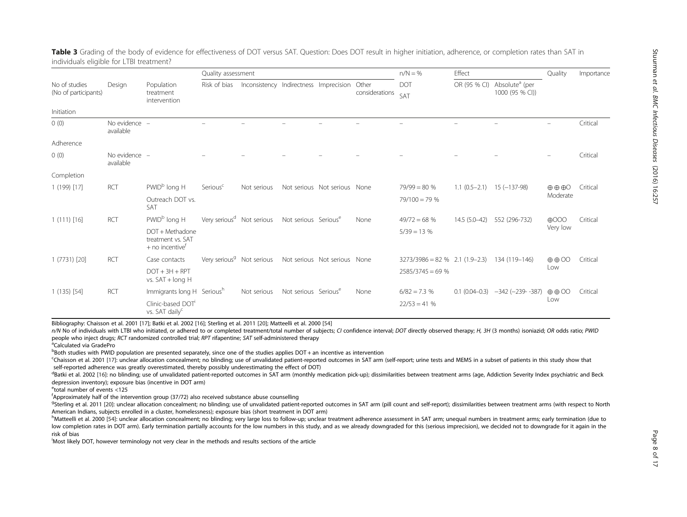|                                       |                            | Population<br>treatment<br>intervention                               | Quality assessment                    |                                        |                                  |                              |                         | $n/N = \%$                        | Effect            |                                               | Quality                    | Importance |
|---------------------------------------|----------------------------|-----------------------------------------------------------------------|---------------------------------------|----------------------------------------|----------------------------------|------------------------------|-------------------------|-----------------------------------|-------------------|-----------------------------------------------|----------------------------|------------|
| No of studies<br>(No of participants) | Design                     |                                                                       | Risk of bias                          | Inconsistency Indirectness Imprecision |                                  |                              | Other<br>considerations | <b>DOT</b><br>SAT                 | OR (95 % CI)      | Absolute <sup>a</sup> (per<br>1000 (95 % CI)) |                            |            |
| Initiation                            |                            |                                                                       |                                       |                                        |                                  |                              |                         |                                   |                   |                                               |                            |            |
| 0(0)                                  | No evidence -<br>available |                                                                       |                                       |                                        |                                  |                              |                         |                                   |                   |                                               |                            | Critical   |
| Adherence                             |                            |                                                                       |                                       |                                        |                                  |                              |                         |                                   |                   |                                               |                            |            |
| 0(0)                                  | No evidence -<br>available |                                                                       |                                       |                                        |                                  |                              |                         |                                   |                   |                                               |                            | Critical   |
| Completion                            |                            |                                                                       |                                       |                                        |                                  |                              |                         |                                   |                   |                                               |                            |            |
| 1 (199) [17]                          | <b>RCT</b>                 | PWID <sup>b</sup> long H                                              | Serious <sup>c</sup>                  | Not serious                            |                                  | Not serious Not serious None |                         | $79/99 = 80%$                     | $1.1(0.5-2.1)$    | $15(-137-98)$                                 | $\oplus$ $\oplus$ $\oplus$ | Critical   |
|                                       | Outreach DOT vs.<br>SAT    |                                                                       |                                       |                                        |                                  |                              | $79/100 = 79%$          |                                   |                   | Moderate                                      |                            |            |
| $1(111)$ [16]                         | <b>RCT</b>                 | PWID <sup>b</sup> long H                                              | Very serious <sup>d</sup> Not serious |                                        | Not serious Serious <sup>e</sup> |                              | None                    | $49/72 = 68%$                     | $14.5(5.0-42)$    | 552 (296-732)                                 | $\bigoplus$ OOO            | Critical   |
|                                       |                            | DOT + Methadone<br>treatment vs. SAT<br>$+$ no incentive <sup>†</sup> |                                       |                                        |                                  |                              |                         | $5/39 = 13%$                      |                   |                                               | Very low                   |            |
| 1 (7731) [20]                         | <b>RCT</b>                 | Case contacts                                                         |                                       | Very serious <sup>g</sup> Not serious  |                                  | Not serious Not serious None |                         | $3273/3986 = 82 \%$ 2.1 (1.9-2.3) |                   | 134 (119–146)                                 | $\oplus$ $\oplus$ OO       | Critical   |
|                                       |                            | $DOT + 3H + RPT$<br>vs. SAT + long H                                  |                                       |                                        |                                  |                              |                         | $2585/3745 = 69%$                 |                   |                                               | Low                        |            |
| $1(135)$ [54]                         | <b>RCT</b>                 | Immigrants long H Serioush                                            |                                       | Not serious                            | Not serious Serious <sup>e</sup> |                              | None                    | $6/82 = 7.3%$                     | $0.1(0.04 - 0.3)$ | $-342 (-239 - 387)$                           | $\oplus$ $\oplus$ $\odot$  | Critical   |
|                                       |                            | Clinic-based DOT<br>vs. SAT daily <sup>c</sup>                        |                                       |                                        |                                  | $22/53 = 41%$                |                         |                                   | Low               |                                               |                            |            |

<span id="page-7-0"></span>Table 3 Grading of the body of evidence for effectiveness of DOT versus SAT. Question: Does DOT result in higher initiation, adherence, or completion rates than SAT in individuals eligible for LTBI treatment?

Bibliography: Chaisson et al. 2001 [[17](#page-15-0)]; Batki et al. 2002 [[16\]](#page-15-0); Sterling et al. 2011 [\[20\]](#page-15-0); Matteelli et al. 2000 [\[54](#page-16-0)]

n/N No of individuals with LTBI who initiated, or adhered to or completed treatment/total number of subjects; CI confidence interval; DOT directly observed therapy; H, 3H (3 months) isoniazid; OR odds ratio; PWID people who inject drugs; RCT randomized controlled trial; RPT rifapentine; SAT self-administered therapy

Calculated via GradePro

**Both studies with PWID population are presented separately, since one of the studies applies DOT + an incentive as intervention** 

c Chaisson et al. 2001 [[17\]](#page-15-0): unclear allocation concealment; no blinding; use of unvalidated patient-reported outcomes in SAT arm (self-report; urine tests and MEMS in a subset of patients in this study show that self-reported adherence was greatly overestimated, thereby possibly underestimating the effect of DOT)

<sup>d</sup>Batki et al. 2002 [[16\]](#page-15-0): no blinding; use of unvalidated patient-reported outcomes in SAT arm (monthly medication pick-up); dissimilarities between treatment arms (age, Addiction Severity Index psychiatric and Beck depression inventory); exposure bias (incentive in DOT arm)

e total number of events <125

f Approximately half of the intervention group (37/72) also received substance abuse counselling

<sup>9</sup>Sterling et al. 2011 [[20\]](#page-15-0): unclear allocation concealment; no blinding; use of unvalidated patient-reported outcomes in SAT arm (pill count and self-report); dissimilarities between treatment arms (with respect to North American Indians, subjects enrolled in a cluster, homelessness); exposure bias (short treatment in DOT arm)

hMatteelli et al. 2000 [[54\]](#page-16-0): unclear allocation concealment; no blinding; very large loss to follow-up; unclear treatment adherence assessment in SAT arm; unequal numbers in treatment arms; early termination (due to low completion rates in DOT arm). Early termination partially accounts for the low numbers in this study, and as we already downgraded for this (serious imprecision), we decided not to downgrade for it again in the risk of bias

i Most likely DOT, however terminology not very clear in the methods and results sections of the article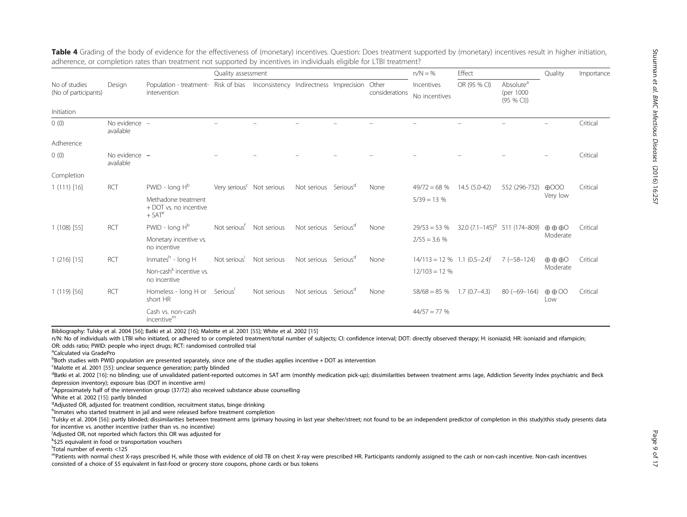|                                       |                            |                                                                                             | Quality assessment                    |             |                                  |                         | $n/N = \%$                          | Effect         |                                                  | Quality                          | Importance |
|---------------------------------------|----------------------------|---------------------------------------------------------------------------------------------|---------------------------------------|-------------|----------------------------------|-------------------------|-------------------------------------|----------------|--------------------------------------------------|----------------------------------|------------|
| No of studies<br>(No of participants) | Design                     | Population - treatment- Risk of bias Inconsistency Indirectness Imprecision<br>intervention |                                       |             |                                  | Other<br>considerations | Incentives<br>No incentives         | OR (95 % CI)   | Absolute <sup>a</sup><br>(per 1000)<br>(95 % CI) |                                  |            |
| Initiation                            |                            |                                                                                             |                                       |             |                                  |                         |                                     |                |                                                  |                                  |            |
| 0(0)                                  | No evidence -<br>available |                                                                                             |                                       |             |                                  |                         |                                     |                |                                                  |                                  | Critical   |
| Adherence                             |                            |                                                                                             |                                       |             |                                  |                         |                                     |                |                                                  |                                  |            |
| 0(0)                                  | No evidence -<br>available |                                                                                             |                                       |             |                                  |                         |                                     |                |                                                  |                                  | Critical   |
| Completion                            |                            |                                                                                             |                                       |             |                                  |                         |                                     |                |                                                  |                                  |            |
| 1(111)[16]                            | <b>RCT</b>                 | $PWID - long Hb$                                                                            | Very serious <sup>c</sup> Not serious |             | Not serious Serious <sup>d</sup> | None                    | $49/72 = 68%$                       | 14.5 (5.0-42)  | 552 (296-732)                                    | $\bigoplus$ OOO                  | Critical   |
|                                       |                            | Methadone treatment<br>+ DOT vs. no incentive<br>$+$ SAT $^{\rm e}$                         |                                       |             |                                  |                         | $5/39 = 13%$                        |                |                                                  | Very low                         |            |
| $1(108)$ [55]                         | <b>RCT</b>                 | $PWID - long Hb$                                                                            | Not serious <sup>t</sup>              | Not serious | Not serious Serious <sup>d</sup> | None                    | $29/53 = 53%$                       |                | $32.0 (7.1 - 145)^9$ 511 (174-809)               | $\oplus \oplus \oplus \odot$     | Critical   |
|                                       |                            | Monetary incentive vs.<br>no incentive                                                      |                                       |             |                                  |                         | $2/55 = 3.6 %$                      |                |                                                  | Moderate                         |            |
| $1(216)$ [15]                         | <b>RCT</b>                 | Inmates $h$ - long H                                                                        | Not serious'                          | Not serious | Not serious Serious <sup>d</sup> | None                    | $14/113 = 12\%$ 1.1 $(0.5-2.4)^{j}$ |                | $7(-58-124)$                                     | $\oplus$ $\oplus$ $\odot$        | Critical   |
|                                       |                            | Non-cash <sup>k</sup> incentive vs.<br>no incentive                                         |                                       |             |                                  |                         | $12/103 = 12%$                      |                |                                                  | Moderate                         |            |
| $1(119)$ [56]                         | <b>RCT</b>                 | Homeless - long H or<br>short HR                                                            | Serious <sup>'</sup>                  | Not serious | Not serious Serious <sup>d</sup> | None                    | $58/68 = 85%$                       | $1.7(0.7-4.3)$ | $80 (-69 - 164)$                                 | $\oplus$ $\oplus$ $\odot$<br>Low | Critical   |
|                                       |                            | Cash vs. non-cash<br>incentive <sup>m</sup>                                                 |                                       |             |                                  |                         | $44/57 = 77%$                       |                |                                                  |                                  |            |

<span id="page-8-0"></span>Table 4 Grading of the body of evidence for the effectiveness of (monetary) incentives. Question: Does treatment supported by (monetary) incentives result in higher initiation, adherence, or completion rates than treatment not supported by incentives in individuals eligible for LTBI treatment?

Bibliography: Tulsky et al. 2004 [[56](#page-16-0)]; Batki et al. 2002 [[16\]](#page-15-0); Malotte et al. 2001 [[55\]](#page-16-0); White et al. 2002 [\[15](#page-15-0)]

n/N: No of individuals with LTBI who initiated, or adhered to or completed treatment/total number of subjects; CI: confidence interval; DOT: directly observed therapy; H: isoniazid; HR: isoniazid and rifampicin; OR: odds ratio; PWID: people who inject drugs; RCT: randomised controlled trial

a Calculated via GradePro

<sup>b</sup>Both studies with PWID population are presented separately, since one of the studies applies incentive + DOT as intervention

<sup>c</sup>Malotte et al. 2001 [\[55](#page-16-0)]: unclear sequence generation; partly blinded  $d_{\text{Rath}}$  at al. 2002 [16]: no blinding: use of unvalidated patient-reported

<sup>d</sup>Batki et al. 2002 [[16\]](#page-15-0): no blinding; use of unvalidated patient-reported outcomes in SAT arm (monthly medication pick-up); dissimilarities between treatment arms (age, Addiction Severity Index psychiatric and Beck depression inventory); exposure bias (DOT in incentive arm)

<sup>e</sup>Approximately half of the intervention group (37/72) also received substance abuse counselling

<sup>f</sup> White et al. 2002 [\[15](#page-15-0)]: partly blinded<br><sup>9</sup>Adjusted OB adjusted for treatment

<sup>9</sup>Adjusted OR, adjusted for: treatment condition, recruitment status, binge drinking

h<sub>l</sub>nmates who started treatment in jail and were released before treatment completion

<sup>i</sup>Tulsky et al. 2004 [[56\]](#page-16-0): partly blinded; dissimilarities between treatment arms (primary housing in last year shelter/street; not found to be an independent predictor of completion in this study)this study presents data for incentive vs. another incentive (rather than vs. no incentive)

<sup>j</sup>Adjusted OR, not reported which factors this OR was adjusted for

k \$25 equivalent in food or transportation vouchers

l Total number of events <125

mPatients with normal chest X-rays prescribed H, while those with evidence of old TB on chest X-ray were prescribed HR. Participants randomly assigned to the cash or non-cash incentive. Non-cash incentives consisted of a choice of \$5 equivalent in fast-food or grocery store coupons, phone cards or bus tokens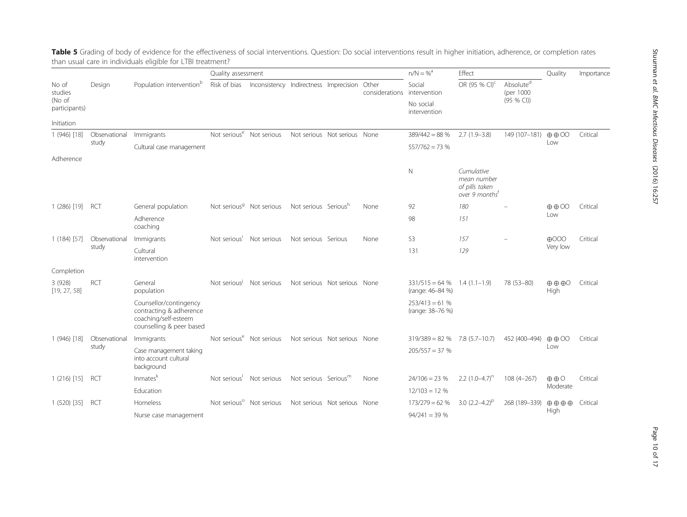|                         |               |                                                                                                       | Quality assessment                   |                                        |                                  |                              |                         | $n/N = %$                           | Effect                                                                    |                                     | Quality                                  | Importance |
|-------------------------|---------------|-------------------------------------------------------------------------------------------------------|--------------------------------------|----------------------------------------|----------------------------------|------------------------------|-------------------------|-------------------------------------|---------------------------------------------------------------------------|-------------------------------------|------------------------------------------|------------|
| No of<br>studies        | Design        | Population intervention <sup>b</sup>                                                                  | Risk of bias                         | Inconsistency Indirectness Imprecision |                                  |                              | Other<br>considerations | Social<br>intervention              | OR (95 % CI) <sup>c</sup>                                                 | Absolute <sup>d</sup><br>(per 1000) |                                          |            |
| (No of<br>participants) |               |                                                                                                       |                                      |                                        |                                  |                              |                         | No social<br>intervention           |                                                                           | (95 % CI)                           |                                          |            |
| Initiation              |               |                                                                                                       |                                      |                                        |                                  |                              |                         |                                     |                                                                           |                                     |                                          |            |
| 1 (946) [18]            | Observational | Immigrants                                                                                            | Not serious <sup>e</sup> Not serious |                                        | Not serious Not serious None     |                              |                         | $389/442 = 88%$                     | $2.7(1.9-3.8)$                                                            | 149 (107-181)                       | $\oplus$ $\oplus$ $\odot$                | Critical   |
|                         | study         | Cultural case management                                                                              |                                      |                                        |                                  |                              |                         | $557/762 = 73%$                     |                                                                           |                                     | Low                                      |            |
| Adherence               |               |                                                                                                       |                                      |                                        |                                  |                              |                         |                                     |                                                                           |                                     |                                          |            |
|                         |               |                                                                                                       |                                      |                                        |                                  |                              |                         | N                                   | Cumulative<br>mean number<br>of pills taken<br>over 9 months <sup>t</sup> |                                     |                                          |            |
| $1(286)$ [19]           | RCT           | General population                                                                                    | Not serious <sup>9</sup> Not serious |                                        | Not serious Serious <sup>n</sup> |                              | None                    | 92                                  | 180                                                                       |                                     | $\oplus$ $\oplus$ $\odot\!\!\!\!\!\circ$ | Critical   |
|                         |               | Adherence<br>coaching                                                                                 |                                      |                                        |                                  |                              |                         | 98                                  | 151                                                                       |                                     | Low                                      |            |
| $1(184)$ [57]           | Observational | Immigrants                                                                                            | Not serious'                         | Not serious                            | Not serious Serious              |                              | None                    | 53                                  | 157                                                                       |                                     | $\bigoplus$ OOO                          | Critical   |
|                         | study         | Cultural<br>intervention                                                                              |                                      |                                        |                                  |                              |                         | 131                                 | 129                                                                       |                                     | Very low                                 |            |
| Completion              |               |                                                                                                       |                                      |                                        |                                  |                              |                         |                                     |                                                                           |                                     |                                          |            |
| 3 (928)<br>[19, 27, 58] | <b>RCT</b>    | General<br>population                                                                                 | Not serious <sup>J</sup>             | Not serious                            |                                  | Not serious Not serious None |                         | $331/515 = 64%$<br>(range: 46-84 %) | $1.4(1.1-1.9)$                                                            | 78 (53-80)                          | $\oplus$ $\oplus$ $\oplus$<br>High       | Critical   |
|                         |               | Counsellor/contingency<br>contracting & adherence<br>coaching/self-esteem<br>counselling & peer based |                                      |                                        |                                  |                              |                         | $253/413 = 61%$<br>(range: 38-76 %) |                                                                           |                                     |                                          |            |
| 1 (946) [18]            | Observational | Immigrants                                                                                            | Not serious <sup>e</sup> Not serious |                                        | Not serious Not serious None     |                              |                         | $319/389 = 82 \%$ 7.8 (5.7-10.7)    |                                                                           | 452 (400-494)                       | $\oplus$ $\oplus$ $\odot$                | Critical   |
|                         | study         | Case management taking<br>into account cultural<br>background                                         |                                      |                                        |                                  |                              |                         | $205/557 = 37%$                     |                                                                           |                                     | Low                                      |            |
| $1(216)$ [15]           | RCT           | Inmates <sup>k</sup>                                                                                  | Not serious <sup>1</sup>             | Not serious                            | Not serious Serious <sup>m</sup> |                              | None                    | $24/106 = 23%$                      | 2.2 $(1.0-4.7)^n$                                                         | $108(4 - 267)$                      | $\oplus$ $\oplus$ O                      | Critical   |
|                         |               | Education                                                                                             |                                      |                                        |                                  |                              |                         | $12/103 = 12%$                      |                                                                           |                                     | Moderate                                 |            |
| $1(520)$ [35]           | <b>RCT</b>    | Homeless                                                                                              | Not serious <sup>o</sup> Not serious |                                        |                                  | Not serious Not serious None |                         | $173/279 = 62%$                     | 3.0 $(2.2-4.2)^p$                                                         | 268 (189-339)                       | $\oplus$ $\oplus$ $\oplus$               | Critical   |
|                         |               | Nurse case management                                                                                 |                                      |                                        |                                  |                              |                         | $94/241 = 39%$                      |                                                                           |                                     | High                                     |            |

<span id="page-9-0"></span>**Table 5** Grading of body of evidence for the effectiveness of social interventions. Question: Do social interventions result in higher initiation, adherence, or completion rates than usual care in individuals eligible for LTBI treatment?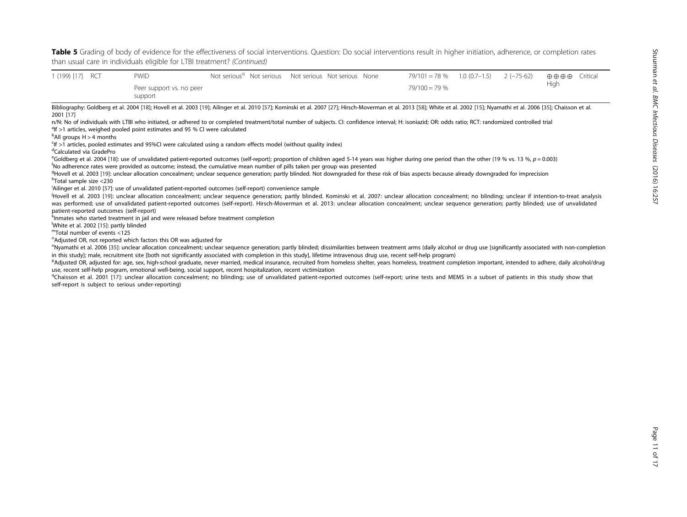Table 5 Grading of body of evidence for the effectiveness of social interventions. Question: Do social interventions result in higher initiation, adherence, or completion rates than usual care in individuals eligible for LTBI treatment? (Continued)

| $1(199)$ [17]                              | RCT | <b>PWID</b>                                                                                                                                                                                                                          |  | Not serious <sup>q</sup> Not serious Not serious Not serious None |  | $79/101 = 78%$ | $1.0(0.7-1.5)$ | $2(-75-62)$ | $\oplus$ $\oplus$ $\oplus$ | Critical |
|--------------------------------------------|-----|--------------------------------------------------------------------------------------------------------------------------------------------------------------------------------------------------------------------------------------|--|-------------------------------------------------------------------|--|----------------|----------------|-------------|----------------------------|----------|
|                                            |     | Peer support vs. no peer<br>support                                                                                                                                                                                                  |  |                                                                   |  | $79/100 = 79%$ |                |             | High                       |          |
|                                            |     | Bibliography: Goldberg et al. 2004 [18]; Hovell et al. 2003 [19]; Ailinger et al. 2010 [57]; Kominski et al. 2007 [27]; Hirsch-Moverman et al. 2013 [58]; White et al. 2002 [15]; Nyamathi et al. 2006 [35]; Chaisson et al.         |  |                                                                   |  |                |                |             |                            |          |
| 2001 [17]                                  |     |                                                                                                                                                                                                                                      |  |                                                                   |  |                |                |             |                            |          |
|                                            |     | n/N: No of individuals with LTBI who initiated, or adhered to or completed treatment/total number of subjects. CI: confidence interval; H: isoniazid; OR: odds ratio; RCT: randomized controlled trial                               |  |                                                                   |  |                |                |             |                            |          |
|                                            |     | <sup>a</sup> lf >1 articles, weighed pooled point estimates and 95 % CI were calculated                                                                                                                                              |  |                                                                   |  |                |                |             |                            |          |
| $\mathrm{P}\text{All}$ groups H > 4 months |     |                                                                                                                                                                                                                                      |  |                                                                   |  |                |                |             |                            |          |
|                                            |     | $\frac{f}{f}$ >1 articles, pooled estimates and 95%CI were calculated using a random effects model (without quality index)                                                                                                           |  |                                                                   |  |                |                |             |                            |          |
| <sup>d</sup> Calculated via GradePro       |     |                                                                                                                                                                                                                                      |  |                                                                   |  |                |                |             |                            |          |
|                                            |     | <sup>e</sup> Goldberg et al. 2004 [18]: use of unvalidated patient-reported outcomes (self-report); proportion of children aged 5-14 years was higher during one period than the other (19 % vs. 13 %, $p = 0.003$ )                 |  |                                                                   |  |                |                |             |                            |          |
|                                            |     | No adherence rates were provided as outcome; instead, the cumulative mean number of pills taken per group was presented                                                                                                              |  |                                                                   |  |                |                |             |                            |          |
|                                            |     | <sup>9</sup> Hovell et al. 2003 [19]: unclear allocation concealment; unclear sequence generation; partly blinded. Not downgraded for these risk of bias aspects because already downgraded for imprecision                          |  |                                                                   |  |                |                |             |                            |          |
| <sup>h</sup> Total sample size <230        |     |                                                                                                                                                                                                                                      |  |                                                                   |  |                |                |             |                            |          |
|                                            |     | Ailinger et al. 2010 [57]: use of unvalidated patient-reported outcomes (self-report) convenience sample                                                                                                                             |  |                                                                   |  |                |                |             |                            |          |
|                                            |     | <sup>1</sup> Hovell et al. 2003 [19]: unclear allocation concealment; unclear sequence generation; partly blinded. Kominski et al. 2007: unclear allocation concealment; no blinding; unclear if intention-to-treat analysis         |  |                                                                   |  |                |                |             |                            |          |
|                                            |     | was performed; use of unvalidated patient-reported outcomes (self-report). Hirsch-Moverman et al. 2013: unclear allocation concealment; unclear sequence generation; partly blinded; use of unvalidated                              |  |                                                                   |  |                |                |             |                            |          |
| patient-reported outcomes (self-report)    |     |                                                                                                                                                                                                                                      |  |                                                                   |  |                |                |             |                            |          |
|                                            |     | <sup>k</sup> Inmates who started treatment in jail and were released before treatment completion                                                                                                                                     |  |                                                                   |  |                |                |             |                            |          |
| White et al. 2002 [15]: partly blinded     |     |                                                                                                                                                                                                                                      |  |                                                                   |  |                |                |             |                            |          |
| "Total number of events <125               |     |                                                                                                                                                                                                                                      |  |                                                                   |  |                |                |             |                            |          |
|                                            |     | <sup>n</sup> Adjusted OR, not reported which factors this OR was adjusted for                                                                                                                                                        |  |                                                                   |  |                |                |             |                            |          |
|                                            |     | <sup>o</sup> Nvamathi et al. 2006 [35]: unclear allocation concealment: unclear sequence generation: partly blinded: dissimilarities between treatment arms (daily alcohol or drug use Isignificantly associated with non-completion |  |                                                                   |  |                |                |             |                            |          |

Nyamathi et al. 2006 [\[35\]](#page-15-0): unclear allocation concealment; unclear sequence generation; partly blinded; dissimilarities between treatment arms (daily alcohol or drug use [significantly associated with non-completion in this study]; male, recruitment site [both not significantly associated with completion in this study], lifetime intravenous drug use, recent self-help program)<br>PAdiusted OR adjusted for age sex high-school graduate neve

PAdjusted OR, adjusted for: age, sex, high-school graduate, never married, medical insurance, recruited from homeless shelter, years homeless, treatment completion important, intended to adhere, daily alcohol/drug use, recent self-help program, emotional well-being, social support, recent hospitalization, recent victimization

<sup>q</sup>Chaisson et al. 2001 [[17](#page-15-0)]: unclear allocation concealment; no blinding; use of unvalidated patient-reported outcomes (self-report; urine tests and MEMS in a subset of patients in this study show that self-report is subject to serious under-reporting)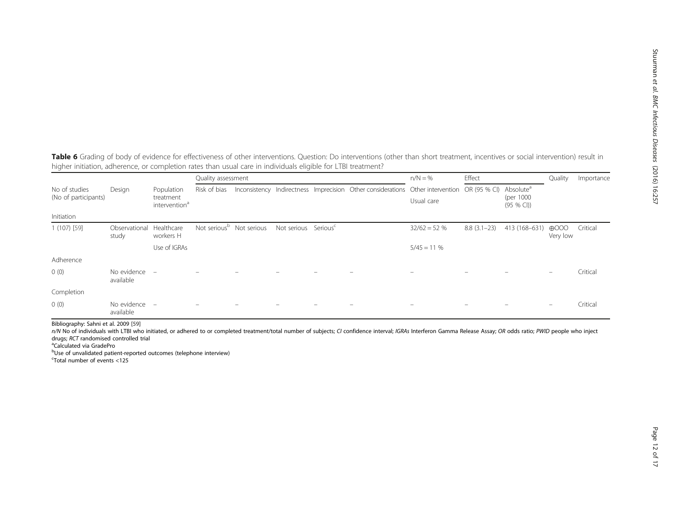<span id="page-11-0"></span>Table 6 Grading of body of evidence for effectiveness of other interventions. Question: Do interventions (other than short treatment, incentives or social intervention) result in higher initiation, adherence, or completion rates than usual care in individuals eligible for LTBI treatment?

|                      |                          |                                        | Quality assessment |                                      |                                  |                                                                                             | $n/N = \%$    | Effect        |                         | Quality                     | Importance |
|----------------------|--------------------------|----------------------------------------|--------------------|--------------------------------------|----------------------------------|---------------------------------------------------------------------------------------------|---------------|---------------|-------------------------|-----------------------------|------------|
| No of studies        | Design                   | Population                             | Risk of bias       |                                      |                                  | Inconsistency Indirectness Imprecision Other considerations Other intervention OR (95 % CI) |               |               | Absolute <sup>a</sup>   |                             |            |
| (No of participants) |                          | treatment<br>intervention <sup>a</sup> |                    |                                      |                                  |                                                                                             | Usual care    |               | (per 1000)<br>(95 % CI) |                             |            |
| Initiation           |                          |                                        |                    |                                      |                                  |                                                                                             |               |               |                         |                             |            |
| $1(107)$ [59]        | Observational<br>study   | Healthcare<br>workers H                |                    | Not serious <sup>b</sup> Not serious | Not serious Serious <sup>c</sup> |                                                                                             | $32/62 = 52%$ | $8.8(3.1-23)$ | 413 (168-631)           | $\bigoplus$ OOO<br>Very low | Critical   |
|                      |                          | Use of IGRAs                           |                    |                                      |                                  |                                                                                             | $5/45 = 11%$  |               |                         |                             |            |
| Adherence            |                          |                                        |                    |                                      |                                  |                                                                                             |               |               |                         |                             |            |
| 0(0)                 | No evidence<br>available | $\qquad \qquad =$                      |                    |                                      |                                  |                                                                                             |               |               |                         |                             | Critical   |
| Completion           |                          |                                        |                    |                                      |                                  |                                                                                             |               |               |                         |                             |            |
| 0(0)                 | No evidence<br>available | $\qquad \qquad =$                      |                    |                                      |                                  |                                                                                             |               |               |                         | $\overline{\phantom{0}}$    | Critical   |

Bibliography: Sahni et al. 2009 [[59](#page-16-0)]

n/N No of individuals with LTBI who initiated, or adhered to or completed treatment/total number of subjects; CI confidence interval; IGRAs Interferon Gamma Release Assay; OR odds ratio; PWID people who inject drugs; RCT randomised controlled trial

Calculated via GradePro

bUse of unvalidated patient-reported outcomes (telephone interview)

c Total number of events <125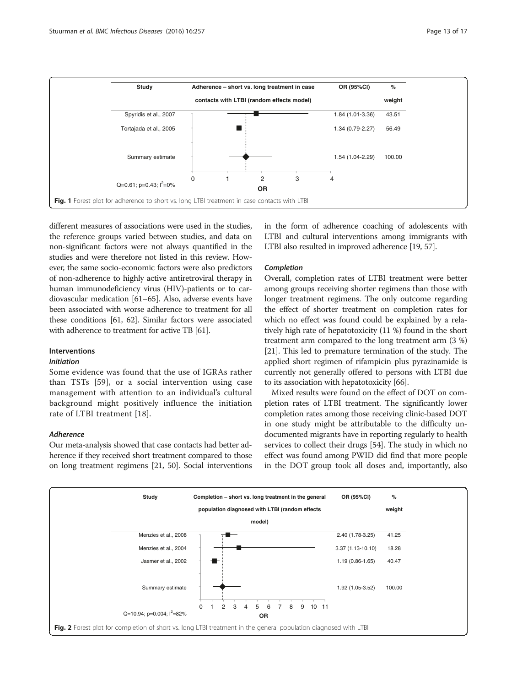<span id="page-12-0"></span>

different measures of associations were used in the studies, the reference groups varied between studies, and data on non-significant factors were not always quantified in the studies and were therefore not listed in this review. However, the same socio-economic factors were also predictors of non-adherence to highly active antiretroviral therapy in human immunodeficiency virus (HIV)-patients or to cardiovascular medication [[61](#page-16-0)–[65\]](#page-16-0). Also, adverse events have been associated with worse adherence to treatment for all these conditions [\[61, 62](#page-16-0)]. Similar factors were associated with adherence to treatment for active TB [[61](#page-16-0)].

#### Interventions

#### Initiation

Some evidence was found that the use of IGRAs rather than TSTs [[59\]](#page-16-0), or a social intervention using case management with attention to an individual's cultural background might positively influence the initiation rate of LTBI treatment [[18\]](#page-15-0).

#### Adherence

Our meta-analysis showed that case contacts had better adherence if they received short treatment compared to those on long treatment regimens [[21](#page-15-0), [50\]](#page-16-0). Social interventions in the form of adherence coaching of adolescents with LTBI and cultural interventions among immigrants with LTBI also resulted in improved adherence [[19](#page-15-0), [57](#page-16-0)].

#### Completion

Overall, completion rates of LTBI treatment were better among groups receiving shorter regimens than those with longer treatment regimens. The only outcome regarding the effect of shorter treatment on completion rates for which no effect was found could be explained by a relatively high rate of hepatotoxicity (11 %) found in the short treatment arm compared to the long treatment arm (3 %) [[21](#page-15-0)]. This led to premature termination of the study. The applied short regimen of rifampicin plus pyrazinamide is currently not generally offered to persons with LTBI due to its association with hepatotoxicity [\[66\]](#page-16-0).

Mixed results were found on the effect of DOT on completion rates of LTBI treatment. The significantly lower completion rates among those receiving clinic-based DOT in one study might be attributable to the difficulty undocumented migrants have in reporting regularly to health services to collect their drugs [\[54\]](#page-16-0). The study in which no effect was found among PWID did find that more people in the DOT group took all doses and, importantly, also

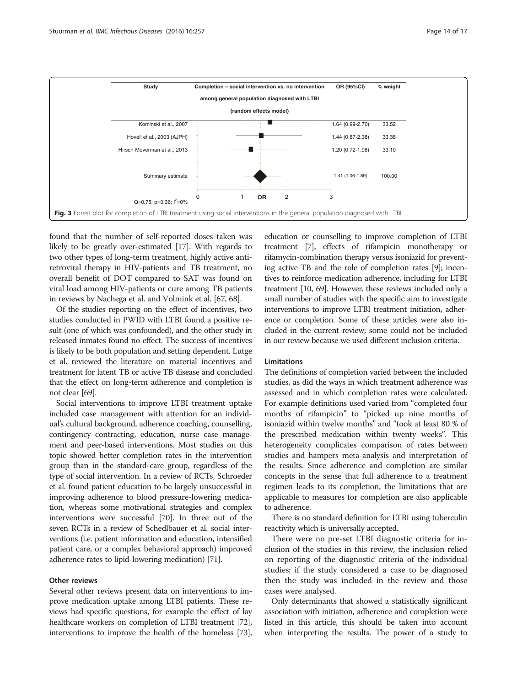<span id="page-13-0"></span>

found that the number of self-reported doses taken was likely to be greatly over-estimated [\[17\]](#page-15-0). With regards to two other types of long-term treatment, highly active antiretroviral therapy in HIV-patients and TB treatment, no overall benefit of DOT compared to SAT was found on viral load among HIV-patients or cure among TB patients in reviews by Nachega et al. and Volmink et al. [[67](#page-16-0), [68](#page-16-0)].

Of the studies reporting on the effect of incentives, two studies conducted in PWID with LTBI found a positive result (one of which was confounded), and the other study in released inmates found no effect. The success of incentives is likely to be both population and setting dependent. Lutge et al. reviewed the literature on material incentives and treatment for latent TB or active TB disease and concluded that the effect on long-term adherence and completion is not clear [[69](#page-16-0)].

Social interventions to improve LTBI treatment uptake included case management with attention for an individual's cultural background, adherence coaching, counselling, contingency contracting, education, nurse case management and peer-based interventions. Most studies on this topic showed better completion rates in the intervention group than in the standard-care group, regardless of the type of social intervention. In a review of RCTs, Schroeder et al. found patient education to be largely unsuccessful in improving adherence to blood pressure-lowering medication, whereas some motivational strategies and complex interventions were successful [\[70\]](#page-16-0). In three out of the seven RCTs in a review of Schedlbauer et al. social interventions (i.e. patient information and education, intensified patient care, or a complex behavioral approach) improved adherence rates to lipid-lowering medication) [[71](#page-16-0)].

#### Other reviews

Several other reviews present data on interventions to improve medication uptake among LTBI patients. These reviews had specific questions, for example the effect of lay healthcare workers on completion of LTBI treatment [\[72](#page-16-0)], interventions to improve the health of the homeless [\[73](#page-16-0)], education or counselling to improve completion of LTBI treatment [\[7](#page-15-0)], effects of rifampicin monotherapy or rifamycin-combination therapy versus isoniazid for preventing active TB and the role of completion rates [\[9](#page-15-0)]; incentives to reinforce medication adherence, including for LTBI treatment [\[10,](#page-15-0) [69](#page-16-0)]. However, these reviews included only a small number of studies with the specific aim to investigate interventions to improve LTBI treatment initiation, adherence or completion. Some of these articles were also included in the current review; some could not be included in our review because we used different inclusion criteria.

#### Limitations

The definitions of completion varied between the included studies, as did the ways in which treatment adherence was assessed and in which completion rates were calculated. For example definitions used varied from "completed four months of rifampicin" to "picked up nine months of isoniazid within twelve months" and "took at least 80 % of the prescribed medication within twenty weeks". This heterogeneity complicates comparison of rates between studies and hampers meta-analysis and interpretation of the results. Since adherence and completion are similar concepts in the sense that full adherence to a treatment regimen leads to its completion, the limitations that are applicable to measures for completion are also applicable to adherence.

There is no standard definition for LTBI using tuberculin reactivity which is universally accepted.

There were no pre-set LTBI diagnostic criteria for inclusion of the studies in this review, the inclusion relied on reporting of the diagnostic criteria of the individual studies; if the study considered a case to be diagnosed then the study was included in the review and those cases were analysed.

Only determinants that showed a statistically significant association with initiation, adherence and completion were listed in this article, this should be taken into account when interpreting the results. The power of a study to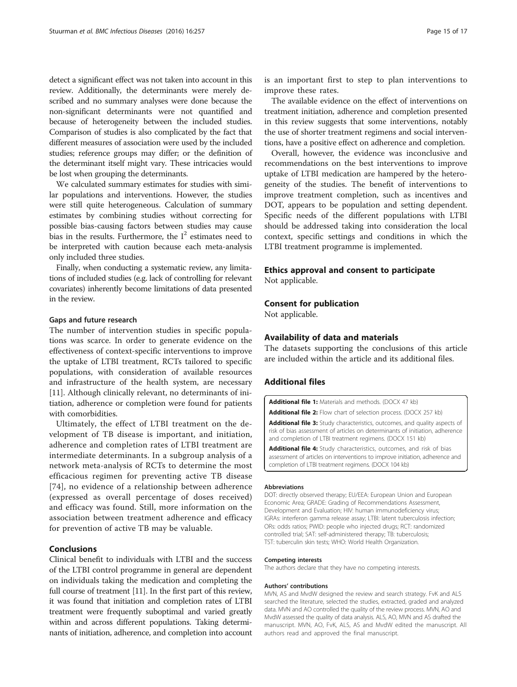<span id="page-14-0"></span>detect a significant effect was not taken into account in this review. Additionally, the determinants were merely described and no summary analyses were done because the non-significant determinants were not quantified and because of heterogeneity between the included studies. Comparison of studies is also complicated by the fact that different measures of association were used by the included studies; reference groups may differ; or the definition of the determinant itself might vary. These intricacies would be lost when grouping the determinants.

We calculated summary estimates for studies with similar populations and interventions. However, the studies were still quite heterogeneous. Calculation of summary estimates by combining studies without correcting for possible bias-causing factors between studies may cause bias in the results. Furthermore, the  $I^2$  estimates need to be interpreted with caution because each meta-analysis only included three studies.

Finally, when conducting a systematic review, any limitations of included studies (e.g. lack of controlling for relevant covariates) inherently become limitations of data presented in the review.

#### Gaps and future research

The number of intervention studies in specific populations was scarce. In order to generate evidence on the effectiveness of context-specific interventions to improve the uptake of LTBI treatment, RCTs tailored to specific populations, with consideration of available resources and infrastructure of the health system, are necessary [[11\]](#page-15-0). Although clinically relevant, no determinants of initiation, adherence or completion were found for patients with comorbidities.

Ultimately, the effect of LTBI treatment on the development of TB disease is important, and initiation, adherence and completion rates of LTBI treatment are intermediate determinants. In a subgroup analysis of a network meta-analysis of RCTs to determine the most efficacious regimen for preventing active TB disease [[74](#page-16-0)], no evidence of a relationship between adherence (expressed as overall percentage of doses received) and efficacy was found. Still, more information on the association between treatment adherence and efficacy for prevention of active TB may be valuable.

# Conclusions

Clinical benefit to individuals with LTBI and the success of the LTBI control programme in general are dependent on individuals taking the medication and completing the full course of treatment [\[11\]](#page-15-0). In the first part of this review, it was found that initiation and completion rates of LTBI treatment were frequently suboptimal and varied greatly within and across different populations. Taking determinants of initiation, adherence, and completion into account is an important first to step to plan interventions to improve these rates.

The available evidence on the effect of interventions on treatment initiation, adherence and completion presented in this review suggests that some interventions, notably the use of shorter treatment regimens and social interventions, have a positive effect on adherence and completion.

Overall, however, the evidence was inconclusive and recommendations on the best interventions to improve uptake of LTBI medication are hampered by the heterogeneity of the studies. The benefit of interventions to improve treatment completion, such as incentives and DOT, appears to be population and setting dependent. Specific needs of the different populations with LTBI should be addressed taking into consideration the local context, specific settings and conditions in which the LTBI treatment programme is implemented.

# Ethics approval and consent to participate

Not applicable.

# Consent for publication

Not applicable.

# Availability of data and materials

The datasets supporting the conclusions of this article are included within the article and its additional files.

# Additional files

[Additional file 1:](dx.doi.org/10.1186/s12879-016-1549-4) Materials and methods. (DOCX 47 kb)

[Additional file 2:](dx.doi.org/10.1186/s12879-016-1549-4) Flow chart of selection process. (DOCX 257 kb)

[Additional file 3:](dx.doi.org/10.1186/s12879-016-1549-4) Study characteristics, outcomes, and quality aspects of risk of bias assessment of articles on determinants of initiation, adherence and completion of LTBI treatment regimens. (DOCX 151 kb)

[Additional file 4:](dx.doi.org/10.1186/s12879-016-1549-4) Study characteristics, outcomes, and risk of bias assessment of articles on interventions to improve initiation, adherence and completion of LTBI treatment regimens. (DOCX 104 kb)

#### Abbreviations

DOT: directly observed therapy; EU/EEA: European Union and European Economic Area; GRADE: Grading of Recommendations Assessment, Development and Evaluation; HIV: human immunodeficiency virus; IGRAs: interferon gamma release assay; LTBI: latent tuberculosis infection; ORs: odds ratios; PWID: people who injected drugs; RCT: randomized controlled trial; SAT: self-administered therapy; TB: tuberculosis; TST: tuberculin skin tests; WHO: World Health Organization.

#### Competing interests

The authors declare that they have no competing interests.

#### Authors' contributions

MVN, AS and MvdW designed the review and search strategy. FvK and ALS searched the literature, selected the studies, extracted, graded and analyzed data. MVN and AO controlled the quality of the review process. MVN, AO and MvdW assessed the quality of data analysis. ALS, AO, MVN and AS drafted the manuscript. MVN, AO, FvK, ALS, AS and MvdW edited the manuscript. All authors read and approved the final manuscript.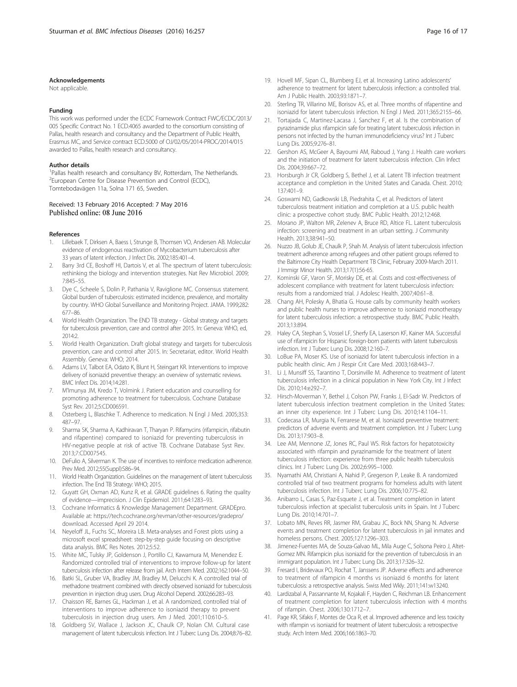#### <span id="page-15-0"></span>Acknowledgements

Not applicable.

#### Funding

This work was performed under the ECDC Framework Contract FWC/ECDC/2013/ 005 Specific Contract No. 1 ECD.4065 awarded to the consortium consisting of Pallas, health research and consultancy and the Department of Public Health, Erasmus MC, and Service contract ECD.5000 of OJ/02/05/2014-PROC/2014/015 awarded to Pallas, health research and consultancy.

#### Author details

<sup>1</sup>Pallas health research and consultancy BV, Rotterdam, The Netherlands. <sup>2</sup> European Centre for Disease Prevention and Control (ECDC), Tomtebodavägen 11a, Solna 171 65, Sweden.

#### Received: 13 February 2016 Accepted: 7 May 2016 Published online: 08 June 2016

#### References

- Lillebaek T, Dirksen A, Baess I, Strunge B, Thomsen VO, Andersen AB. Molecular evidence of endogenous reactivation of Mycobacterium tuberculosis after 33 years of latent infection. J Infect Dis. 2002;185:401–4.
- Barry 3rd CE, Boshoff HI, Dartois V, et al. The spectrum of latent tuberculosis: rethinking the biology and intervention strategies. Nat Rev Microbiol. 2009; 7:845–55.
- Dye C, Scheele S, Dolin P, Pathania V, Raviglione MC. Consensus statement. Global burden of tuberculosis: estimated incidence, prevalence, and mortality by country. WHO Global Surveillance and Monitoring Project. JAMA. 1999;282: 677–86.
- 4. World Health Organization. The END TB strategy Global strategy and targets for tuberculosis prevention, care and control after 2015. In: Geneva: WHO, ed,  $2014.2$
- 5. World Health Organization. Draft global strategy and targets for tuberculosis prevention, care and control after 2015. In: Secretariat, editor. World Health Assembly. Geneva: WHO; 2014.
- 6. Adams LV, Talbot EA, Odato K, Blunt H, Steingart KR. Interventions to improve delivery of isoniazid preventive therapy: an overview of systematic reviews. BMC Infect Dis. 2014;14:281.
- 7. M'Imunya JM, Kredo T, Volmink J. Patient education and counselling for promoting adherence to treatment for tuberculosis. Cochrane Database Syst Rev. 2012;5:CD006591.
- 8. Osterberg L, Blaschke T. Adherence to medication. N Engl J Med. 2005;353: 487–97.
- 9. Sharma SK, Sharma A, Kadhiravan T, Tharyan P. Rifamycins (rifampicin, rifabutin and rifapentine) compared to isoniazid for preventing tuberculosis in HIV-negative people at risk of active TB. Cochrane Database Syst Rev. 2013;7:CD007545.
- 10. DeFulio A, Silverman K. The use of incentives to reinforce medication adherence. Prev Med. 2012;55(Suppl):S86–94.
- 11. World Health Organization. Guidelines on the management of latent tuberculosis infection. The End TB Strategy: WHO; 2015.
- 12. Guyatt GH, Oxman AD, Kunz R, et al. GRADE guidelines 6. Rating the quality of evidence—imprecision. J Clin Epidemiol. 2011;64:1283–93.
- 13. Cochrane Informatics & Knowledge Management Department. GRADEpro. Available at: [https://tech.cochrane.org/revman/other-resources/gradepro/](https://tech.cochrane.org/revman/other-resources/gradepro/download) [download.](https://tech.cochrane.org/revman/other-resources/gradepro/download) Accessed April 29 2014.
- 14. Neyeloff JL, Fuchs SC, Moreira LB. Meta-analyses and Forest plots using a microsoft excel spreadsheet: step-by-step guide focusing on descriptive data analysis. BMC Res Notes. 2012;5:52.
- 15. White MC, Tulsky JP, Goldenson J, Portillo CJ, Kawamura M, Menendez E. Randomized controlled trial of interventions to improve follow-up for latent tuberculosis infection after release from jail. Arch Intern Med. 2002;162:1044–50.
- 16. Batki SL, Gruber VA, Bradley JM, Bradley M, Delucchi K. A controlled trial of methadone treatment combined with directly observed isoniazid for tuberculosis prevention in injection drug users. Drug Alcohol Depend. 2002;66:283–93.
- 17. Chaisson RE, Barnes GL, Hackman J, et al. A randomized, controlled trial of interventions to improve adherence to isoniazid therapy to prevent tuberculosis in injection drug users. Am J Med. 2001;110:610–5.
- 18. Goldberg SV, Wallace J, Jackson JC, Chaulk CP, Nolan CM. Cultural case management of latent tuberculosis infection. Int J Tuberc Lung Dis. 2004;8:76–82.
- 19. Hovell MF, Sipan CL, Blumberg EJ, et al. Increasing Latino adolescents' adherence to treatment for latent tuberculosis infection: a controlled trial. Am J Public Health. 2003;93:1871–7.
- 20. Sterling TR, Villarino ME, Borisov AS, et al. Three months of rifapentine and isoniazid for latent tuberculosis infection. N Engl J Med. 2011;365:2155–66.
- 21. Tortajada C, Martinez-Lacasa J, Sanchez F, et al. Is the combination of pyrazinamide plus rifampicin safe for treating latent tuberculosis infection in persons not infected by the human immunodeficiency virus? Int J Tuberc Lung Dis. 2005;9:276–81.
- 22. Gershon AS, McGeer A, Bayoumi AM, Raboud J, Yang J. Health care workers and the initiation of treatment for latent tuberculosis infection. Clin Infect Dis. 2004;39:667–72.
- 23. Horsburgh Jr CR, Goldberg S, Bethel J, et al. Latent TB infection treatment acceptance and completion in the United States and Canada. Chest. 2010; 137:401–9.
- 24. Goswami ND, Gadkowski LB, Piedrahita C, et al. Predictors of latent tuberculosis treatment initiation and completion at a U.S. public health clinic: a prospective cohort study. BMC Public Health. 2012;12:468.
- 25. Morano JP, Walton MR, Zelenev A, Bruce RD, Altice FL. Latent tuberculosis infection: screening and treatment in an urban setting. J Community Health. 2013;38:941–50.
- 26. Nuzzo JB, Golub JE, Chaulk P, Shah M. Analysis of latent tuberculosis infection treatment adherence among refugees and other patient groups referred to the Baltimore City Health Department TB Clinic, February 2009-March 2011. J Immigr Minor Health. 2013;17(1):56-65.
- 27. Kominski GF, Varon SF, Morisky DE, et al. Costs and cost-effectiveness of adolescent compliance with treatment for latent tuberculosis infection: results from a randomized trial. J Adolesc Health. 2007;40:61–8.
- 28. Chang AH, Polesky A, Bhatia G. House calls by community health workers and public health nurses to improve adherence to isoniazid monotherapy for latent tuberculosis infection: a retrospective study. BMC Public Health. 2013;13:894.
- 29. Haley CA, Stephan S, Vossel LF, Sherfy EA, Laserson KF, Kainer MA. Successful use of rifampicin for Hispanic foreign-born patients with latent tuberculosis infection. Int J Tuberc Lung Dis. 2008;12:160–7.
- 30. LoBue PA, Moser KS. Use of isoniazid for latent tuberculosis infection in a public health clinic. Am J Respir Crit Care Med. 2003;168:443–7.
- 31. Li J, Munsiff SS, Tarantino T, Dorsinville M. Adherence to treatment of latent tuberculosis infection in a clinical population in New York City. Int J Infect Dis. 2010;14:e292–7.
- 32. Hirsch-Moverman Y, Bethel J, Colson PW, Franks J, El-Sadr W. Predictors of latent tuberculosis infection treatment completion in the United States: an inner city experience. Int J Tuberc Lung Dis. 2010;14:1104–11.
- 33. Codecasa LR, Murgia N, Ferrarese M, et al. Isoniazid preventive treatment: predictors of adverse events and treatment completion. Int J Tuberc Lung Dis. 2013;17:903–8.
- 34. Lee AM, Mennone JZ, Jones RC, Paul WS. Risk factors for hepatotoxicity associated with rifampin and pyrazinamide for the treatment of latent tuberculosis infection: experience from three public health tuberculosis clinics. Int J Tuberc Lung Dis. 2002;6:995–1000.
- 35. Nyamathi AM, Christiani A, Nahid P, Gregerson P, Leake B. A randomized controlled trial of two treatment programs for homeless adults with latent tuberculosis infection. Int J Tuberc Lung Dis. 2006;10:775–82.
- 36. Anibarro L, Casas S, Paz-Esquete J, et al. Treatment completion in latent tuberculosis infection at specialist tuberculosis units in Spain. Int J Tuberc Lung Dis. 2010;14:701–7.
- 37. Lobato MN, Reves RR, Jasmer RM, Grabau JC, Bock NN, Shang N. Adverse events and treatment completion for latent tuberculosis in jail inmates and homeless persons. Chest. 2005;127:1296–303.
- 38. Jimenez-Fuentes MA, de Souza-Galvao ML, Mila Auge C, Solsona Peiro J, Altet-Gomez MN. Rifampicin plus isoniazid for the prevention of tuberculosis in an immigrant population. Int J Tuberc Lung Dis. 2013;17:326–32.
- 39. Fresard I, Bridevaux PO, Rochat T, Janssens JP. Adverse effects and adherence to treatment of rifampicin 4 months vs isoniazid 6 months for latent tuberculosis: a retrospective analysis. Swiss Med Wkly. 2011;141:w13240.
- 40. Lardizabal A, Passannante M, Kojakali F, Hayden C, Reichman LB. Enhancement of treatment completion for latent tuberculosis infection with 4 months of rifampin. Chest. 2006;130:1712–7.
- 41. Page KR, Sifakis F, Montes de Oca R, et al. Improved adherence and less toxicity with rifampin vs isoniazid for treatment of latent tuberculosis: a retrospective study. Arch Intern Med. 2006;166:1863–70.